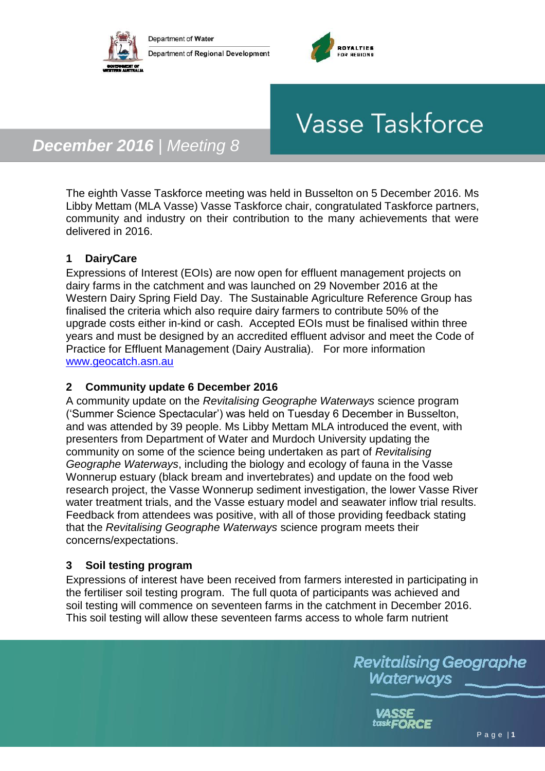



# **Vasse Taskforce**

# *December 2016 | Meeting 8*

The eighth Vasse Taskforce meeting was held in Busselton on 5 December 2016. Ms Libby Mettam (MLA Vasse) Vasse Taskforce chair, congratulated Taskforce partners, community and industry on their contribution to the many achievements that were delivered in 2016.

# **1 DairyCare**

Expressions of Interest (EOIs) are now open for effluent management projects on dairy farms in the catchment and was launched on 29 November 2016 at the Western Dairy Spring Field Day. The Sustainable Agriculture Reference Group has finalised the criteria which also require dairy farmers to contribute 50% of the upgrade costs either in-kind or cash. Accepted EOIs must be finalised within three years and must be designed by an accredited effluent advisor and meet the Code of Practice for Effluent Management (Dairy Australia). For more information [www.geocatch.asn.au](http://www.geocatch.asn.au/) 

#### **2 Community update 6 December 2016**

A community update on the *Revitalising Geographe Waterways* science program ('Summer Science Spectacular') was held on Tuesday 6 December in Busselton, and was attended by 39 people. Ms Libby Mettam MLA introduced the event, with presenters from Department of Water and Murdoch University updating the community on some of the science being undertaken as part of *Revitalising Geographe Waterways*, including the biology and ecology of fauna in the Vasse Wonnerup estuary (black bream and invertebrates) and update on the food web research project, the Vasse Wonnerup sediment investigation, the lower Vasse River water treatment trials, and the Vasse estuary model and seawater inflow trial results. Feedback from attendees was positive, with all of those providing feedback stating that the *Revitalising Geographe Waterways* science program meets their concerns/expectations.

## **3 Soil testing program**

Expressions of interest have been received from farmers interested in participating in the fertiliser soil testing program. The full quota of participants was achieved and soil testing will commence on seventeen farms in the catchment in December 2016. This soil testing will allow these seventeen farms access to whole farm nutrient

> **Revitalising Geographe** Waterways

> > VASSE